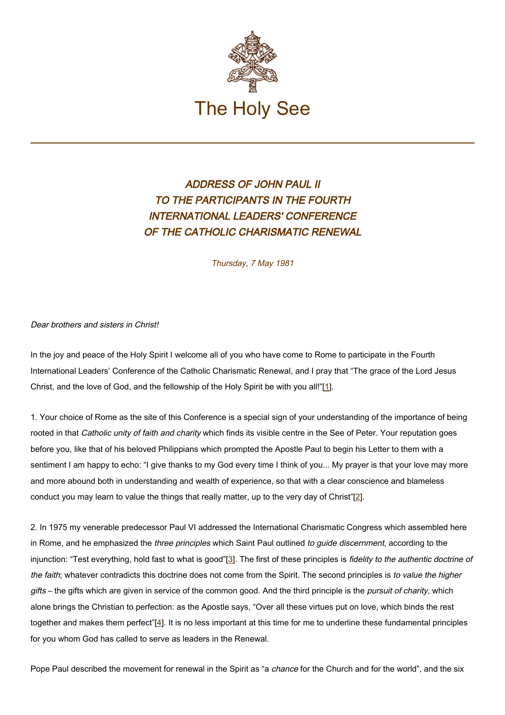

## ADDRESS OF JOHN PAUL II TO THE PARTICIPANTS IN THE FOURTH INTERNATIONAL LEADERS' CONFERENCE OF THE CATHOLIC CHARISMATIC RENEWAL

Thursday, 7 May 1981

Dear brothers and sisters in Christ!

In the joy and peace of the Holy Spirit I welcome all of you who have come to Rome to participate in the Fourth International Leaders' Conference of the Catholic Charismatic Renewal, and I pray that "The grace of the Lord Jesus Christ, and the love of God, and the fellowship of the Holy Spirit be with you all!"[1].

1. Your choice of Rome as the site of this Conference is a special sign of your understanding of the importance of being rooted in that Catholic unity of faith and charity which finds its visible centre in the See of Peter. Your reputation goes before you, like that of his beloved Philippians which prompted the Apostle Paul to begin his Letter to them with a sentiment I am happy to echo: "I give thanks to my God every time I think of you... My prayer is that your love may more and more abound both in understanding and wealth of experience, so that with a clear conscience and blameless conduct you may learn to value the things that really matter, up to the very day of Christ"[2].

2. In 1975 my venerable predecessor Paul VI addressed the International Charismatic Congress which assembled here in Rome, and he emphasized the three principles which Saint Paul outlined to guide discernment, according to the injunction: "Test everything, hold fast to what is good"[3]. The first of these principles is fidelity to the authentic doctrine of the faith; whatever contradicts this doctrine does not come from the Spirit. The second principles is to value the higher gifts – the gifts which are given in service of the common good. And the third principle is the *pursuit of charity*, which alone brings the Christian to perfection: as the Apostle says, "Over all these virtues put on love, which binds the rest together and makes them perfect"[4]. It is no less important at this time for me to underline these fundamental principles for you whom God has called to serve as leaders in the Renewal.

Pope Paul described the movement for renewal in the Spirit as "a chance for the Church and for the world", and the six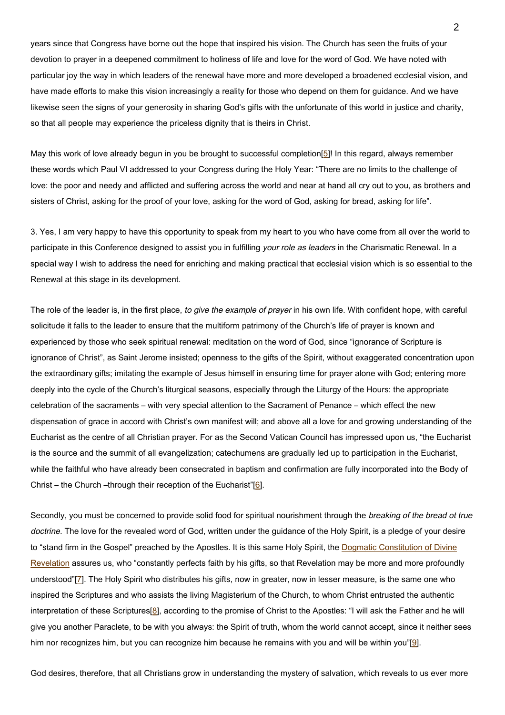years since that Congress have borne out the hope that inspired his vision. The Church has seen the fruits of your devotion to prayer in a deepened commitment to holiness of life and love for the word of God. We have noted with particular joy the way in which leaders of the renewal have more and more developed a broadened ecclesial vision, and have made efforts to make this vision increasingly a reality for those who depend on them for guidance. And we have likewise seen the signs of your generosity in sharing God's gifts with the unfortunate of this world in justice and charity, so that all people may experience the priceless dignity that is theirs in Christ.

May this work of love already begun in you be brought to successful completion[5]! In this regard, always remember these words which Paul VI addressed to your Congress during the Holy Year: "There are no limits to the challenge of love: the poor and needy and afflicted and suffering across the world and near at hand all cry out to you, as brothers and sisters of Christ, asking for the proof of your love, asking for the word of God, asking for bread, asking for life".

3. Yes, I am very happy to have this opportunity to speak from my heart to you who have come from all over the world to participate in this Conference designed to assist you in fulfilling your role as leaders in the Charismatic Renewal. In a special way I wish to address the need for enriching and making practical that ecclesial vision which is so essential to the Renewal at this stage in its development.

The role of the leader is, in the first place, to give the example of prayer in his own life. With confident hope, with careful solicitude it falls to the leader to ensure that the multiform patrimony of the Church's life of prayer is known and experienced by those who seek spiritual renewal: meditation on the word of God, since "ignorance of Scripture is ignorance of Christ", as Saint Jerome insisted; openness to the gifts of the Spirit, without exaggerated concentration upon the extraordinary gifts; imitating the example of Jesus himself in ensuring time for prayer alone with God; entering more deeply into the cycle of the Church's liturgical seasons, especially through the Liturgy of the Hours: the appropriate celebration of the sacraments – with very special attention to the Sacrament of Penance – which effect the new dispensation of grace in accord with Christ's own manifest will; and above all a love for and growing understanding of the Eucharist as the centre of all Christian prayer. For as the Second Vatican Council has impressed upon us, "the Eucharist is the source and the summit of all evangelization; catechumens are gradually led up to participation in the Eucharist, while the faithful who have already been consecrated in baptism and confirmation are fully incorporated into the Body of Christ – the Church –through their reception of the Eucharist"[6].

Secondly, you must be concerned to provide solid food for spiritual nourishment through the breaking of the bread ot true doctrine. The love for the revealed word of God, written under the guidance of the Holy Spirit, is a pledge of your desire to "stand firm in the Gospel" preached by the Apostles. It is this same Holy Spirit, the [Dogmatic Constitution of Divine](http://www.vatican.va/archive/hist_councils/ii_vatican_council/documents/vat-ii_const_19651118_dei-verbum_en.html) [Revelation](http://www.vatican.va/archive/hist_councils/ii_vatican_council/documents/vat-ii_const_19651118_dei-verbum_en.html) assures us, who "constantly perfects faith by his gifts, so that Revelation may be more and more profoundly understood"[7]. The Holy Spirit who distributes his gifts, now in greater, now in lesser measure, is the same one who inspired the Scriptures and who assists the living Magisterium of the Church, to whom Christ entrusted the authentic interpretation of these Scriptures<sup>[8]</sup>, according to the promise of Christ to the Apostles: "I will ask the Father and he will give you another Paraclete, to be with you always: the Spirit of truth, whom the world cannot accept, since it neither sees him nor recognizes him, but you can recognize him because he remains with you and will be within you"[9].

God desires, therefore, that all Christians grow in understanding the mystery of salvation, which reveals to us ever more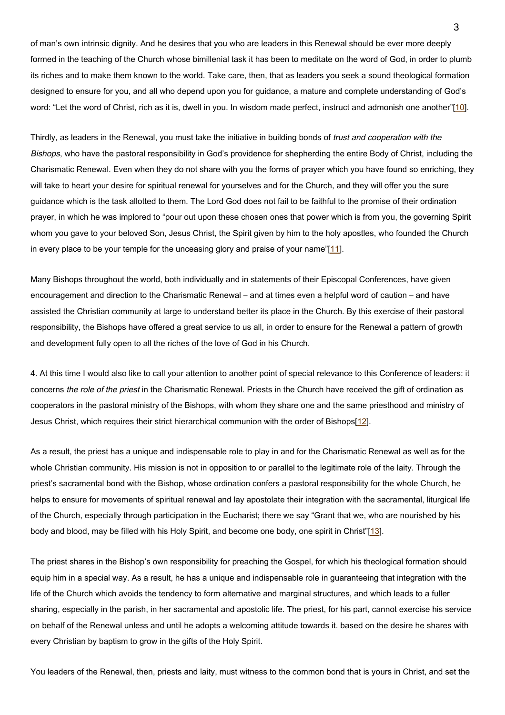of man's own intrinsic dignity. And he desires that you who are leaders in this Renewal should be ever more deeply formed in the teaching of the Church whose bimillenial task it has been to meditate on the word of God, in order to plumb its riches and to make them known to the world. Take care, then, that as leaders you seek a sound theological formation designed to ensure for you, and all who depend upon you for guidance, a mature and complete understanding of God's word: "Let the word of Christ, rich as it is, dwell in you. In wisdom made perfect, instruct and admonish one another"[10].

Thirdly, as leaders in the Renewal, you must take the initiative in building bonds of *trust and cooperation with the* Bishops, who have the pastoral responsibility in God's providence for shepherding the entire Body of Christ, including the Charismatic Renewal. Even when they do not share with you the forms of prayer which you have found so enriching, they will take to heart your desire for spiritual renewal for yourselves and for the Church, and they will offer you the sure guidance which is the task allotted to them. The Lord God does not fail to be faithful to the promise of their ordination prayer, in which he was implored to "pour out upon these chosen ones that power which is from you, the governing Spirit whom you gave to your beloved Son, Jesus Christ, the Spirit given by him to the holy apostles, who founded the Church in every place to be your temple for the unceasing glory and praise of your name"[11].

Many Bishops throughout the world, both individually and in statements of their Episcopal Conferences, have given encouragement and direction to the Charismatic Renewal – and at times even a helpful word of caution – and have assisted the Christian community at large to understand better its place in the Church. By this exercise of their pastoral responsibility, the Bishops have offered a great service to us all, in order to ensure for the Renewal a pattern of growth and development fully open to all the riches of the love of God in his Church.

4. At this time I would also like to call your attention to another point of special relevance to this Conference of leaders: it concerns the role of the priest in the Charismatic Renewal. Priests in the Church have received the gift of ordination as cooperators in the pastoral ministry of the Bishops, with whom they share one and the same priesthood and ministry of Jesus Christ, which requires their strict hierarchical communion with the order of Bishops[12].

As a result, the priest has a unique and indispensable role to play in and for the Charismatic Renewal as well as for the whole Christian community. His mission is not in opposition to or parallel to the legitimate role of the laity. Through the priest's sacramental bond with the Bishop, whose ordination confers a pastoral responsibility for the whole Church, he helps to ensure for movements of spiritual renewal and lay apostolate their integration with the sacramental, liturgical life of the Church, especially through participation in the Eucharist; there we say "Grant that we, who are nourished by his body and blood, may be filled with his Holy Spirit, and become one body, one spirit in Christ"[13].

The priest shares in the Bishop's own responsibility for preaching the Gospel, for which his theological formation should equip him in a special way. As a result, he has a unique and indispensable role in guaranteeing that integration with the life of the Church which avoids the tendency to form alternative and marginal structures, and which leads to a fuller sharing, especially in the parish, in her sacramental and apostolic life. The priest, for his part, cannot exercise his service on behalf of the Renewal unless and until he adopts a welcoming attitude towards it. based on the desire he shares with every Christian by baptism to grow in the gifts of the Holy Spirit.

You leaders of the Renewal, then, priests and laity, must witness to the common bond that is yours in Christ, and set the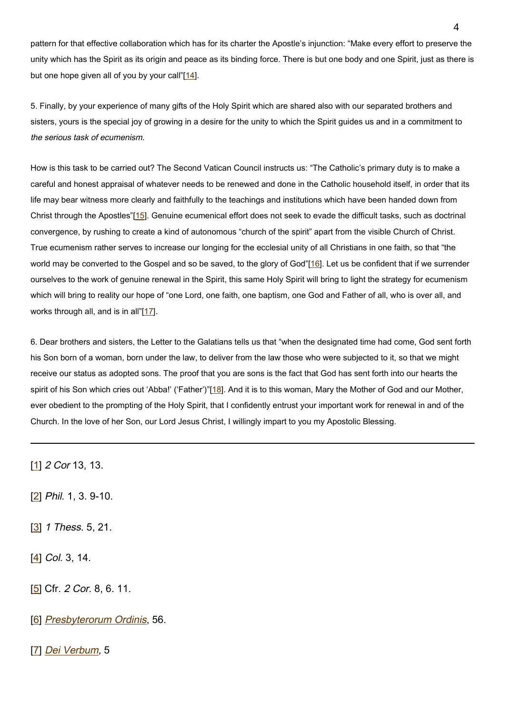pattern for that effective collaboration which has for its charter the Apostle's injunction: "Make every effort to preserve the unity which has the Spirit as its origin and peace as its binding force. There is but one body and one Spirit, just as there is but one hope given all of you by your call" $[14]$ .

5. Finally, by your experience of many gifts of the Holy Spirit which are shared also with our separated brothers and sisters, yours is the special joy of growing in a desire for the unity to which the Spirit guides us and in a commitment to the serious task of ecumenism.

How is this task to be carried out? The Second Vatican Council instructs us: "The Catholic's primary duty is to make a careful and honest appraisal of whatever needs to be renewed and done in the Catholic household itself, in order that its life may bear witness more clearly and faithfully to the teachings and institutions which have been handed down from Christ through the Apostles"[15]. Genuine ecumenical effort does not seek to evade the difficult tasks, such as doctrinal convergence, by rushing to create a kind of autonomous "church of the spirit" apart from the visible Church of Christ. True ecumenism rather serves to increase our longing for the ecclesial unity of all Christians in one faith, so that "the world may be converted to the Gospel and so be saved, to the glory of God"[16]. Let us be confident that if we surrender ourselves to the work of genuine renewal in the Spirit, this same Holy Spirit will bring to light the strategy for ecumenism which will bring to reality our hope of "one Lord, one faith, one baptism, one God and Father of all, who is over all, and works through all, and is in all"[17].

6. Dear brothers and sisters, the Letter to the Galatians tells us that "when the designated time had come, God sent forth his Son born of a woman, born under the law, to deliver from the law those who were subjected to it, so that we might receive our status as adopted sons. The proof that you are sons is the fact that God has sent forth into our hearts the spirit of his Son which cries out 'Abba!' ('Father')"[18]. And it is to this woman, Mary the Mother of God and our Mother, ever obedient to the prompting of the Holy Spirit, that I confidently entrust your important work for renewal in and of the Church. In the love of her Son, our Lord Jesus Christ, I willingly impart to you my Apostolic Blessing.

[1] 2 Cor 13, 13.

[2] Phil. 1, 3. 9-10.

[3] 1 Thess. 5, 21.

 $[4]$  Col. 3, 14.

[5] Cfr. 2 Cor. 8, 6. 11.

[6] [Presbyterorum Ordinis](http://www.vatican.va/archive/hist_councils/ii_vatican_council/documents/vat-ii_decree_19651207_presbyterorum-ordinis_en.html), 56.

[7] [Dei Verbum](http://www.vatican.va/archive/hist_councils/ii_vatican_council/documents/vat-ii_const_19651118_dei-verbum_en.html), 5